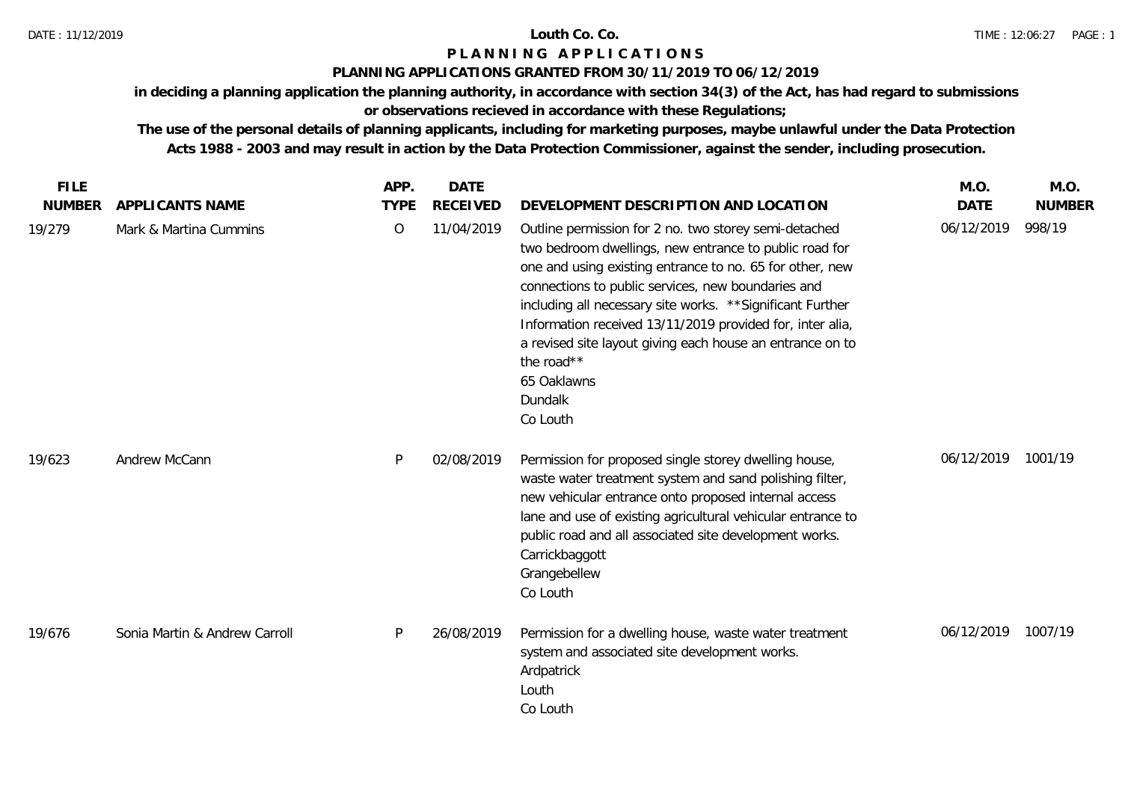### **PLANNING APPLICATIONS GRANTED FROM 30/11/2019 TO 06/12/2019**

**in deciding a planning application the planning authority, in accordance with section 34(3) of the Act, has had regard to submissions** 

# **or observations recieved in accordance with these Regulations;**

| <b>FILE</b>   |                               | APP.        | <b>DATE</b>     |                                                                                                                                                                                                                                                                                                                                                                                                                                                                               | M.O.        | M.O.          |
|---------------|-------------------------------|-------------|-----------------|-------------------------------------------------------------------------------------------------------------------------------------------------------------------------------------------------------------------------------------------------------------------------------------------------------------------------------------------------------------------------------------------------------------------------------------------------------------------------------|-------------|---------------|
| <b>NUMBER</b> | APPLICANTS NAME               | <b>TYPE</b> | <b>RECEIVED</b> | DEVELOPMENT DESCRIPTION AND LOCATION                                                                                                                                                                                                                                                                                                                                                                                                                                          | <b>DATE</b> | <b>NUMBER</b> |
| 19/279        | Mark & Martina Cummins        | O           | 11/04/2019      | Outline permission for 2 no. two storey semi-detached<br>two bedroom dwellings, new entrance to public road for<br>one and using existing entrance to no. 65 for other, new<br>connections to public services, new boundaries and<br>including all necessary site works. ** Significant Further<br>Information received 13/11/2019 provided for, inter alia,<br>a revised site layout giving each house an entrance on to<br>the road**<br>65 Oaklawns<br>Dundalk<br>Co Louth | 06/12/2019  | 998/19        |
| 19/623        | Andrew McCann                 | P           | 02/08/2019      | Permission for proposed single storey dwelling house,<br>waste water treatment system and sand polishing filter,<br>new vehicular entrance onto proposed internal access<br>lane and use of existing agricultural vehicular entrance to<br>public road and all associated site development works.<br>Carrickbaggott<br>Grangebellew<br>Co Louth                                                                                                                               | 06/12/2019  | 1001/19       |
| 19/676        | Sonia Martin & Andrew Carroll | P           | 26/08/2019      | Permission for a dwelling house, waste water treatment<br>system and associated site development works.<br>Ardpatrick<br>Louth<br>Co Louth                                                                                                                                                                                                                                                                                                                                    | 06/12/2019  | 1007/19       |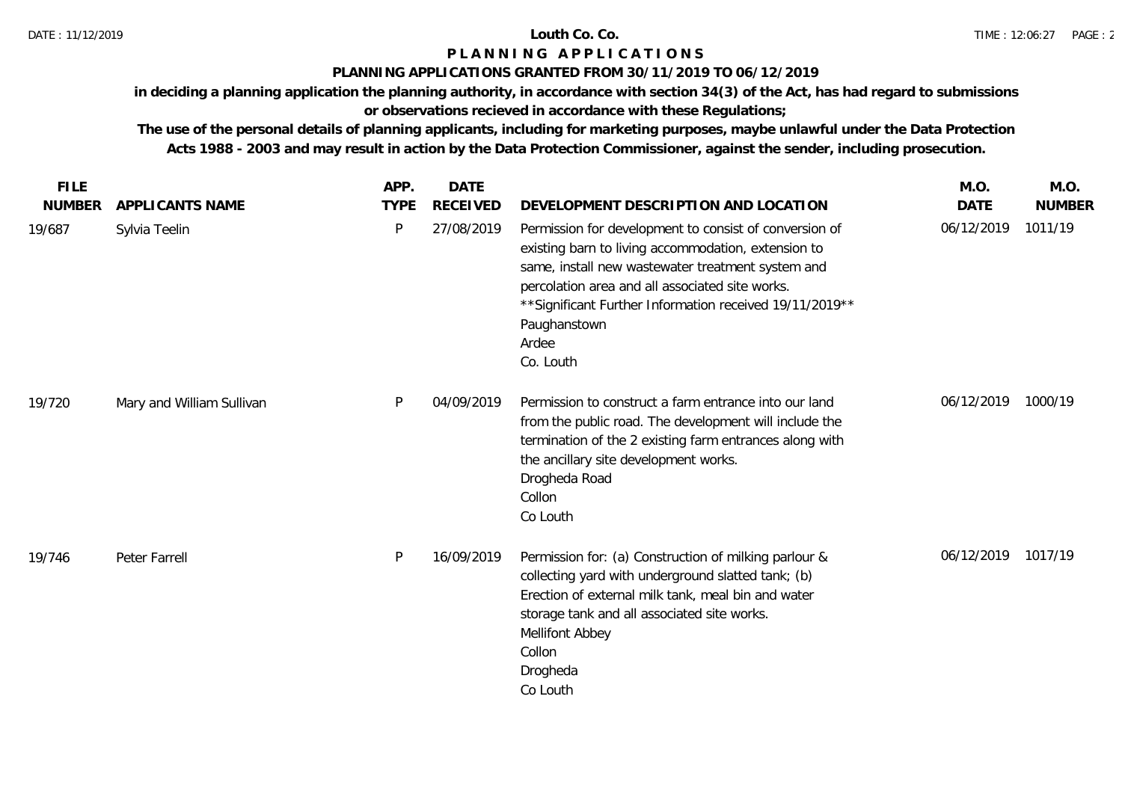### **PLANNING APPLICATIONS GRANTED FROM 30/11/2019 TO 06/12/2019**

**in deciding a planning application the planning authority, in accordance with section 34(3) of the Act, has had regard to submissions** 

# **or observations recieved in accordance with these Regulations;**

| <b>FILE</b>   |                           | APP.        | <b>DATE</b>     |                                                                                                                                                                                                                                                                                                                          | M.O.        | M.O.          |
|---------------|---------------------------|-------------|-----------------|--------------------------------------------------------------------------------------------------------------------------------------------------------------------------------------------------------------------------------------------------------------------------------------------------------------------------|-------------|---------------|
| <b>NUMBER</b> | APPLICANTS NAME           | <b>TYPE</b> | <b>RECEIVED</b> | DEVELOPMENT DESCRIPTION AND LOCATION                                                                                                                                                                                                                                                                                     | <b>DATE</b> | <b>NUMBER</b> |
| 19/687        | Sylvia Teelin             | P           | 27/08/2019      | Permission for development to consist of conversion of<br>existing barn to living accommodation, extension to<br>same, install new wastewater treatment system and<br>percolation area and all associated site works.<br>** Significant Further Information received 19/11/2019 **<br>Paughanstown<br>Ardee<br>Co. Louth | 06/12/2019  | 1011/19       |
| 19/720        | Mary and William Sullivan | P           | 04/09/2019      | Permission to construct a farm entrance into our land<br>from the public road. The development will include the<br>termination of the 2 existing farm entrances along with<br>the ancillary site development works.<br>Drogheda Road<br>Collon<br>Co Louth                                                               | 06/12/2019  | 1000/19       |
| 19/746        | Peter Farrell             | P           | 16/09/2019      | Permission for: (a) Construction of milking parlour &<br>collecting yard with underground slatted tank; (b)<br>Erection of external milk tank, meal bin and water<br>storage tank and all associated site works.<br>Mellifont Abbey<br>Collon<br>Drogheda<br>Co Louth                                                    | 06/12/2019  | 1017/19       |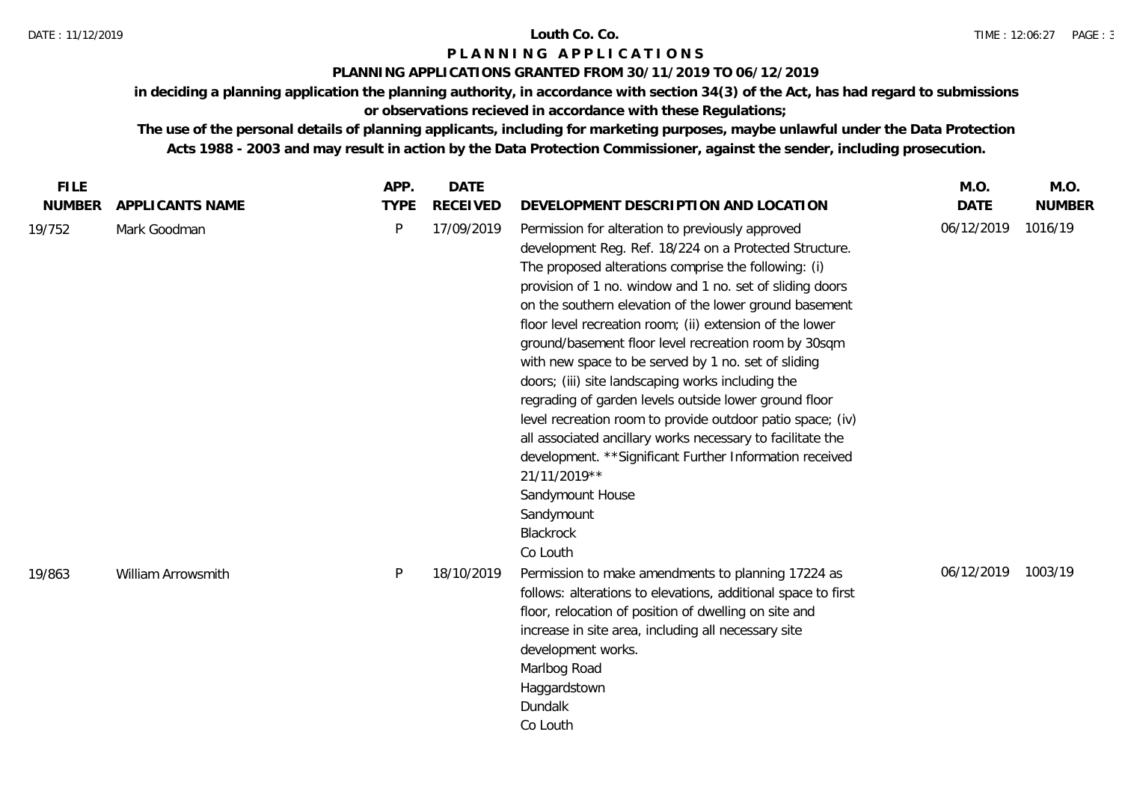## **PLANNING APPLICATIONS GRANTED FROM 30/11/2019 TO 06/12/2019**

**in deciding a planning application the planning authority, in accordance with section 34(3) of the Act, has had regard to submissions** 

**or observations recieved in accordance with these Regulations;**

| <b>FILE</b><br><b>NUMBER</b> | APPLICANTS NAME    | APP.<br><b>TYPE</b> | <b>DATE</b><br><b>RECEIVED</b> | DEVELOPMENT DESCRIPTION AND LOCATION                                                                                                                                                                                                                                                                                                                                                                                                                                                                                                                                                                                                                                                                                                                                                                                                                 | M.O.<br><b>DATE</b> | M.O.<br><b>NUMBER</b> |
|------------------------------|--------------------|---------------------|--------------------------------|------------------------------------------------------------------------------------------------------------------------------------------------------------------------------------------------------------------------------------------------------------------------------------------------------------------------------------------------------------------------------------------------------------------------------------------------------------------------------------------------------------------------------------------------------------------------------------------------------------------------------------------------------------------------------------------------------------------------------------------------------------------------------------------------------------------------------------------------------|---------------------|-----------------------|
| 19/752                       | Mark Goodman       | P                   | 17/09/2019                     | Permission for alteration to previously approved<br>development Reg. Ref. 18/224 on a Protected Structure.<br>The proposed alterations comprise the following: (i)<br>provision of 1 no. window and 1 no. set of sliding doors<br>on the southern elevation of the lower ground basement<br>floor level recreation room; (ii) extension of the lower<br>ground/basement floor level recreation room by 30sqm<br>with new space to be served by 1 no. set of sliding<br>doors; (iii) site landscaping works including the<br>regrading of garden levels outside lower ground floor<br>level recreation room to provide outdoor patio space; (iv)<br>all associated ancillary works necessary to facilitate the<br>development. ** Significant Further Information received<br>21/11/2019**<br>Sandymount House<br>Sandymount<br>Blackrock<br>Co Louth | 06/12/2019          | 1016/19               |
| 19/863                       | William Arrowsmith | P                   | 18/10/2019                     | Permission to make amendments to planning 17224 as<br>follows: alterations to elevations, additional space to first<br>floor, relocation of position of dwelling on site and<br>increase in site area, including all necessary site<br>development works.<br>Marlbog Road<br>Haggardstown<br>Dundalk<br>Co Louth                                                                                                                                                                                                                                                                                                                                                                                                                                                                                                                                     | 06/12/2019          | 1003/19               |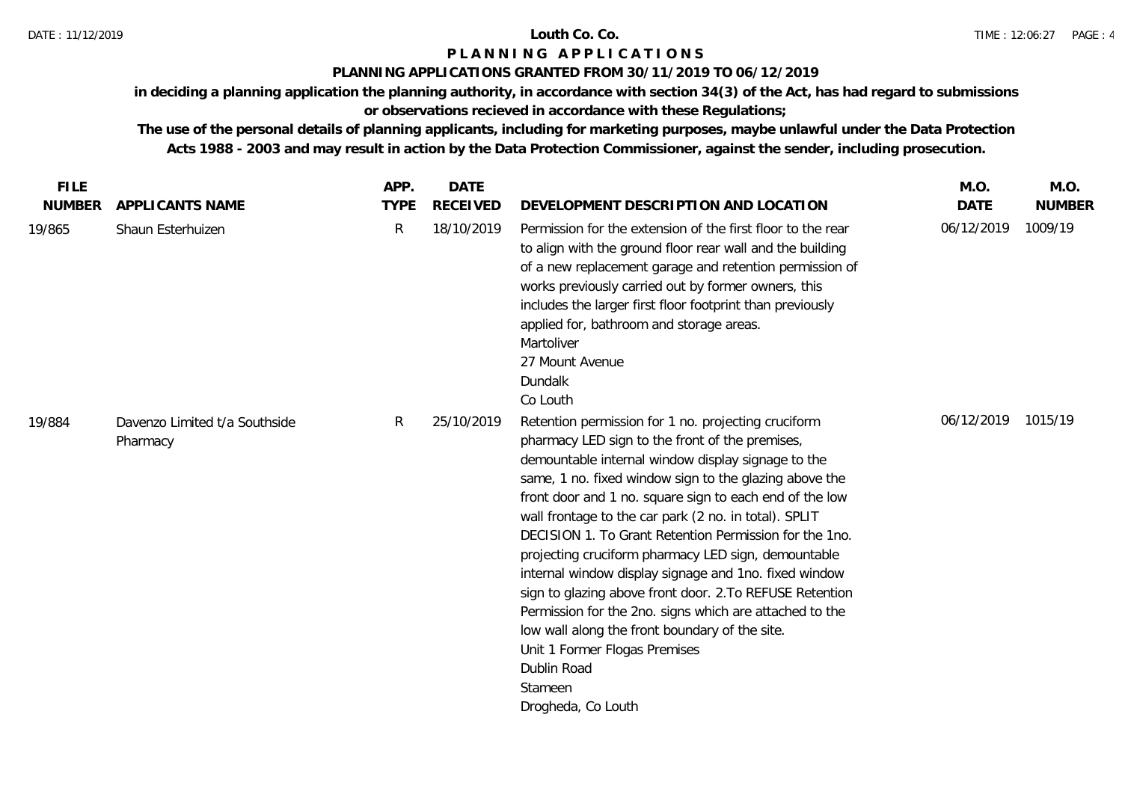### **PLANNING APPLICATIONS GRANTED FROM 30/11/2019 TO 06/12/2019**

**in deciding a planning application the planning authority, in accordance with section 34(3) of the Act, has had regard to submissions** 

# **or observations recieved in accordance with these Regulations;**

| <b>FILE</b>   |                                           | APP.        | <b>DATE</b>     |                                                                                                                                                                                                                                                                                                                                                                                                                                                                                                                                                                                                                                                                                                                                                                                | M.O.               | M.O.          |
|---------------|-------------------------------------------|-------------|-----------------|--------------------------------------------------------------------------------------------------------------------------------------------------------------------------------------------------------------------------------------------------------------------------------------------------------------------------------------------------------------------------------------------------------------------------------------------------------------------------------------------------------------------------------------------------------------------------------------------------------------------------------------------------------------------------------------------------------------------------------------------------------------------------------|--------------------|---------------|
| <b>NUMBER</b> | APPLICANTS NAME                           | <b>TYPE</b> | <b>RECEIVED</b> | DEVELOPMENT DESCRIPTION AND LOCATION                                                                                                                                                                                                                                                                                                                                                                                                                                                                                                                                                                                                                                                                                                                                           | <b>DATE</b>        | <b>NUMBER</b> |
| 19/865        | Shaun Esterhuizen                         | R           | 18/10/2019      | Permission for the extension of the first floor to the rear<br>to align with the ground floor rear wall and the building<br>of a new replacement garage and retention permission of<br>works previously carried out by former owners, this<br>includes the larger first floor footprint than previously<br>applied for, bathroom and storage areas.<br>Martoliver<br>27 Mount Avenue<br>Dundalk<br>Co Louth                                                                                                                                                                                                                                                                                                                                                                    | 06/12/2019         | 1009/19       |
| 19/884        | Davenzo Limited t/a Southside<br>Pharmacy | R           | 25/10/2019      | Retention permission for 1 no. projecting cruciform<br>pharmacy LED sign to the front of the premises,<br>demountable internal window display signage to the<br>same, 1 no. fixed window sign to the glazing above the<br>front door and 1 no. square sign to each end of the low<br>wall frontage to the car park (2 no. in total). SPLIT<br>DECISION 1. To Grant Retention Permission for the 1no.<br>projecting cruciform pharmacy LED sign, demountable<br>internal window display signage and 1no. fixed window<br>sign to glazing above front door. 2. To REFUSE Retention<br>Permission for the 2no. signs which are attached to the<br>low wall along the front boundary of the site.<br>Unit 1 Former Flogas Premises<br>Dublin Road<br>Stameen<br>Drogheda, Co Louth | 06/12/2019 1015/19 |               |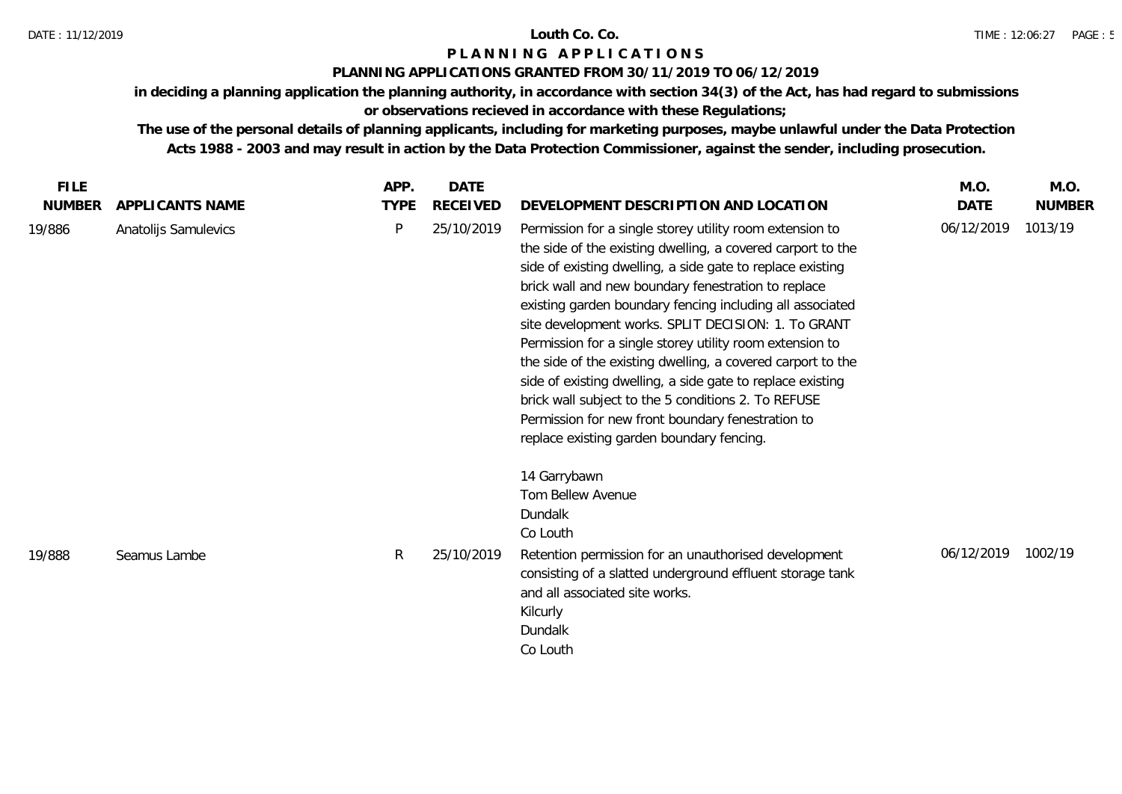### **PLANNING APPLICATIONS GRANTED FROM 30/11/2019 TO 06/12/2019**

**in deciding a planning application the planning authority, in accordance with section 34(3) of the Act, has had regard to submissions** 

# **or observations recieved in accordance with these Regulations;**

| <b>FILE</b>   |                      | APP.        | DATE            |                                                                                                                                                                                                                                                                                                                                                                                                                                                                                                                                                                                                                                                                                                                    | M.O.        | M.O.          |
|---------------|----------------------|-------------|-----------------|--------------------------------------------------------------------------------------------------------------------------------------------------------------------------------------------------------------------------------------------------------------------------------------------------------------------------------------------------------------------------------------------------------------------------------------------------------------------------------------------------------------------------------------------------------------------------------------------------------------------------------------------------------------------------------------------------------------------|-------------|---------------|
| <b>NUMBER</b> | APPLICANTS NAME      | <b>TYPE</b> | <b>RECEIVED</b> | DEVELOPMENT DESCRIPTION AND LOCATION                                                                                                                                                                                                                                                                                                                                                                                                                                                                                                                                                                                                                                                                               | <b>DATE</b> | <b>NUMBER</b> |
| 19/886        | Anatolijs Samulevics | P           | 25/10/2019      | Permission for a single storey utility room extension to<br>the side of the existing dwelling, a covered carport to the<br>side of existing dwelling, a side gate to replace existing<br>brick wall and new boundary fenestration to replace<br>existing garden boundary fencing including all associated<br>site development works. SPLIT DECISION: 1. To GRANT<br>Permission for a single storey utility room extension to<br>the side of the existing dwelling, a covered carport to the<br>side of existing dwelling, a side gate to replace existing<br>brick wall subject to the 5 conditions 2. To REFUSE<br>Permission for new front boundary fenestration to<br>replace existing garden boundary fencing. | 06/12/2019  | 1013/19       |
| 19/888        | Seamus Lambe         | R           | 25/10/2019      | 14 Garrybawn<br>Tom Bellew Avenue<br>Dundalk<br>Co Louth<br>Retention permission for an unauthorised development<br>consisting of a slatted underground effluent storage tank<br>and all associated site works.<br>Kilcurly<br>Dundalk<br>Co Louth                                                                                                                                                                                                                                                                                                                                                                                                                                                                 | 06/12/2019  | 1002/19       |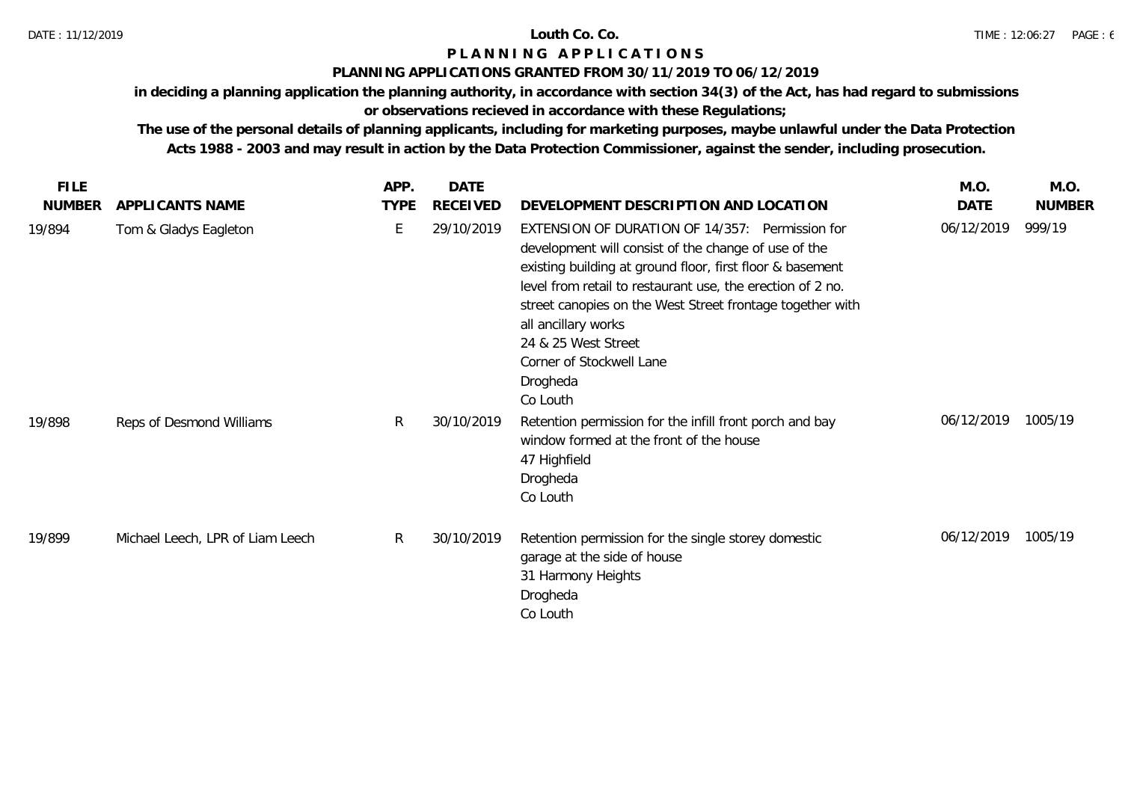## **PLANNING APPLICATIONS GRANTED FROM 30/11/2019 TO 06/12/2019**

**in deciding a planning application the planning authority, in accordance with section 34(3) of the Act, has had regard to submissions** 

# **or observations recieved in accordance with these Regulations;**

| <b>FILE</b>   |                                  | APP.        | <b>DATE</b>     |                                                                                                                                                                                                                                                                                                                                                                                                   | M.O.       | M.O.          |
|---------------|----------------------------------|-------------|-----------------|---------------------------------------------------------------------------------------------------------------------------------------------------------------------------------------------------------------------------------------------------------------------------------------------------------------------------------------------------------------------------------------------------|------------|---------------|
| <b>NUMBER</b> | APPLICANTS NAME                  | <b>TYPE</b> | <b>RECEIVED</b> | DEVELOPMENT DESCRIPTION AND LOCATION                                                                                                                                                                                                                                                                                                                                                              | DATE       | <b>NUMBER</b> |
| 19/894        | Tom & Gladys Eagleton            | E           | 29/10/2019      | EXTENSION OF DURATION OF 14/357: Permission for<br>development will consist of the change of use of the<br>existing building at ground floor, first floor & basement<br>level from retail to restaurant use, the erection of 2 no.<br>street canopies on the West Street frontage together with<br>all ancillary works<br>24 & 25 West Street<br>Corner of Stockwell Lane<br>Drogheda<br>Co Louth | 06/12/2019 | 999/19        |
| 19/898        | Reps of Desmond Williams         | R.          | 30/10/2019      | Retention permission for the infill front porch and bay<br>window formed at the front of the house<br>47 Highfield<br>Drogheda<br>Co Louth                                                                                                                                                                                                                                                        | 06/12/2019 | 1005/19       |
| 19/899        | Michael Leech, LPR of Liam Leech | R           | 30/10/2019      | Retention permission for the single storey domestic<br>garage at the side of house<br>31 Harmony Heights<br>Drogheda<br>Co Louth                                                                                                                                                                                                                                                                  | 06/12/2019 | 1005/19       |